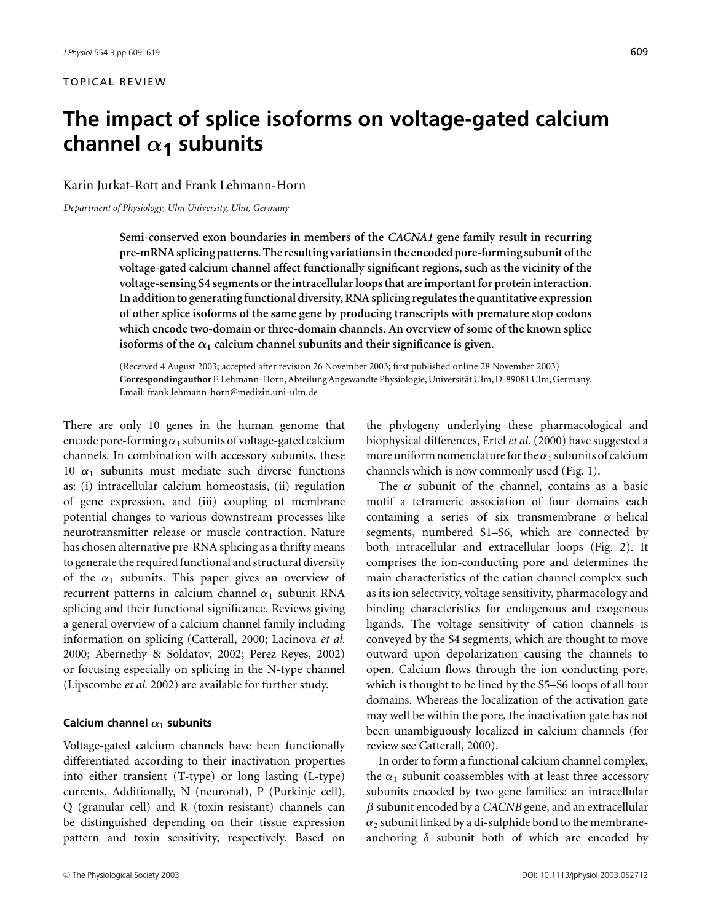# **The impact of splice isoforms on voltage-gated calcium channel** α**<sup>1</sup> subunits**

## Karin Jurkat-Rott and Frank Lehmann-Horn

*Department of Physiology, Ulm University, Ulm, Germany*

**Semi-conserved exon boundaries in members of the** *CACNA1* **gene family result in recurring pre-mRNA splicing patterns. The resulting variations in the encoded pore-forming subunit of the voltage-gated calcium channel affect functionally significant regions, such as the vicinity of the voltage-sensing S4 segments or the intracellular loops that are important for protein interaction. In addition to generating functional diversity, RNA splicing regulates the quantitative expression of other splice isoforms of the same gene by producing transcripts with premature stop codons which encode two-domain or three-domain channels. An overview of some of the known splice** isoforms of the  $\alpha_1$  calcium channel subunits and their significance is given.

(Received 4 August 2003; accepted after revision 26 November 2003; first published online 28 November 2003) **Correspondingauthor**F. Lehmann-Horn, Abteilung Angewandte Physiologie, Universitat Ulm, D-89081 Ulm, Germany. ¨ Email: frank.lehmann-horn@medizin.uni-ulm.de

There are only 10 genes in the human genome that encode pore-forming  $\alpha_1$  subunits of voltage-gated calcium channels. In combination with accessory subunits, these 10  $\alpha_1$  subunits must mediate such diverse functions as: (i) intracellular calcium homeostasis, (ii) regulation of gene expression, and (iii) coupling of membrane potential changes to various downstream processes like neurotransmitter release or muscle contraction. Nature has chosen alternative pre-RNA splicing as a thrifty means to generate the required functional and structural diversity of the  $\alpha_1$  subunits. This paper gives an overview of recurrent patterns in calcium channel  $\alpha_1$  subunit RNA splicing and their functional significance. Reviews giving a general overview of a calcium channel family including information on splicing (Catterall, 2000; Lacinova *et al.* 2000; Abernethy & Soldatov, 2002; Perez-Reyes, 2002) or focusing especially on splicing in the N-type channel (Lipscombe *et al.* 2002) are available for further study.

#### **Calcium channel** α**<sup>1</sup> subunits**

Voltage-gated calcium channels have been functionally differentiated according to their inactivation properties into either transient (T-type) or long lasting (L-type) currents. Additionally, N (neuronal), P (Purkinje cell), Q (granular cell) and R (toxin-resistant) channels can be distinguished depending on their tissue expression pattern and toxin sensitivity, respectively. Based on the phylogeny underlying these pharmacological and biophysical differences, Ertel*et al*. (2000) have suggested a more uniform nomenclature for the  $\alpha_1$  subunits of calcium channels which is now commonly used (Fig. 1).

The  $\alpha$  subunit of the channel, contains as a basic motif a tetrameric association of four domains each containing a series of six transmembrane  $\alpha$ -helical segments, numbered S1–S6, which are connected by both intracellular and extracellular loops (Fig. 2). It comprises the ion-conducting pore and determines the main characteristics of the cation channel complex such as its ion selectivity, voltage sensitivity, pharmacology and binding characteristics for endogenous and exogenous ligands. The voltage sensitivity of cation channels is conveyed by the S4 segments, which are thought to move outward upon depolarization causing the channels to open. Calcium flows through the ion conducting pore, which is thought to be lined by the S5–S6 loops of all four domains. Whereas the localization of the activation gate may well be within the pore, the inactivation gate has not been unambiguously localized in calcium channels (for review see Catterall, 2000).

In order to form a functional calcium channel complex, the  $\alpha_1$  subunit coassembles with at least three accessory subunits encoded by two gene families: an intracellular β subunit encoded by a *CACNB* gene, and an extracellular  $\alpha_2$  subunit linked by a di-sulphide bond to the membraneanchoring  $\delta$  subunit both of which are encoded by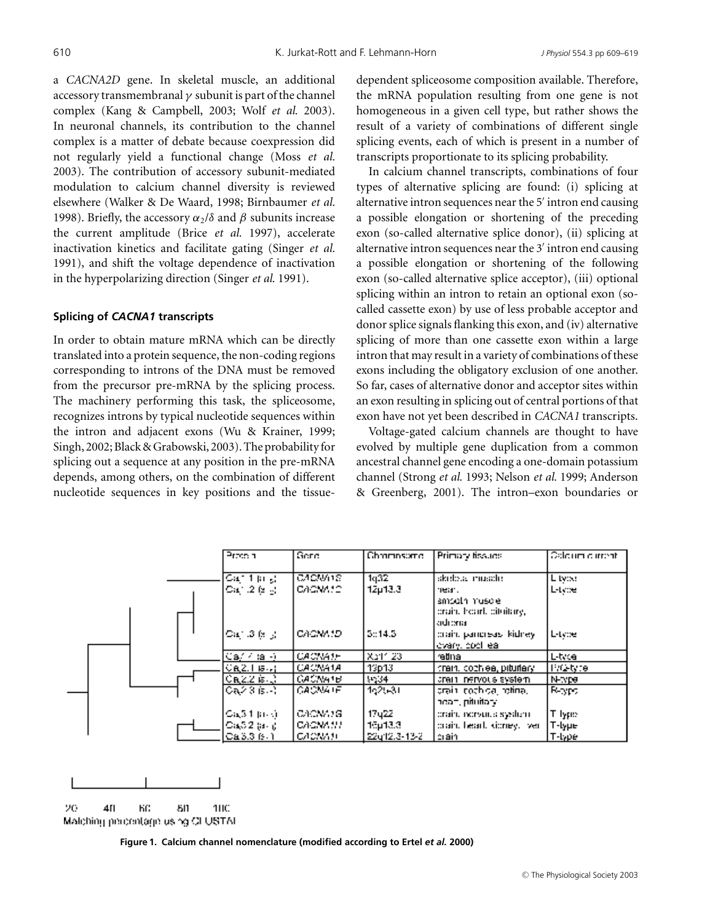a *CACNA2D* gene. In skeletal muscle, an additional accessory transmembranal  $\gamma$  subunit is part of the channel complex (Kang & Campbell, 2003; Wolf *et al.* 2003). In neuronal channels, its contribution to the channel complex is a matter of debate because coexpression did not regularly yield a functional change (Moss *et al.* 2003). The contribution of accessory subunit-mediated modulation to calcium channel diversity is reviewed elsewhere (Walker & De Waard, 1998; Birnbaumer *et al.* 1998). Briefly, the accessory  $\alpha_2/\delta$  and  $\beta$  subunits increase the current amplitude (Brice *et al.* 1997), accelerate inactivation kinetics and facilitate gating (Singer *et al.* 1991), and shift the voltage dependence of inactivation in the hyperpolarizing direction (Singer *et al.* 1991).

#### **Splicing of** *CACNA1* **transcripts**

In order to obtain mature mRNA which can be directly translated into a protein sequence, the non-coding regions corresponding to introns of the DNA must be removed from the precursor pre-mRNA by the splicing process. The machinery performing this task, the spliceosome, recognizes introns by typical nucleotide sequences within the intron and adjacent exons (Wu & Krainer, 1999; Singh, 2002; Black & Grabowski, 2003). The probability for splicing out a sequence at any position in the pre-mRNA depends, among others, on the combination of different nucleotide sequences in key positions and the tissuedependent spliceosome composition available. Therefore, the mRNA population resulting from one gene is not homogeneous in a given cell type, but rather shows the result of a variety of combinations of different single splicing events, each of which is present in a number of transcripts proportionate to its splicing probability.

In calcium channel transcripts, combinations of four types of alternative splicing are found: (i) splicing at alternative intron sequences near the 5′ intron end causing a possible elongation or shortening of the preceding exon (so-called alternative splice donor), (ii) splicing at alternative intron sequences near the 3′ intron end causing a possible elongation or shortening of the following exon (so-called alternative splice acceptor), (iii) optional splicing within an intron to retain an optional exon (socalled cassette exon) by use of less probable acceptor and donor splice signals flanking this exon, and (iv) alternative splicing of more than one cassette exon within a large intron that may result in a variety of combinations of these exons including the obligatory exclusion of one another. So far, cases of alternative donor and acceptor sites within an exon resulting in splicing out of central portions of that exon have not yet been described in *CACNA1* transcripts.

Voltage-gated calcium channels are thought to have evolved by multiple gene duplication from a common ancestral channel gene encoding a one-domain potassium channel (Strong *et al.* 1993; Nelson *et al.* 1999; Anderson & Greenberg, 2001). The intron–exon boundaries or

| Press a                                | Gere           | Chrimnsome     | Primary fissues                                          | <b>Coloum current</b> |
|----------------------------------------|----------------|----------------|----------------------------------------------------------|-----------------------|
| $\overline{\text{Ca}}$ (1 ja $_{5}$ )  | CACMA18        | 1q32           | skoleta muselo.                                          | L tvou                |
| $\text{Ca}^+_{1}$ , $2$ (s) $_{\odot}$ | CACMA12.       | 12µ13.3        | near.                                                    | L-type                |
|                                        |                |                | amseth musele.<br>crain, heart, citailary,               |                       |
| $\text{Ca}^{\ast}$ .3 (s $\pm$         | CACNA1D.       | 5:14.5         | adrena<br>prain, pariereas, kidney.<br>lovary, cocil eal | L-type                |
| Ca//tal-).                             | <b>CACNAIF</b> | <b>Xa11.23</b> | retina                                                   | L-tvce                |
| $CaZ.1$ is $\cdot$ ;                   | <b>CACNA1A</b> | 13p13          | train, cochiea, pituilary                                | TVO-tyre              |
| $CaZZ$ is $\downarrow$ .               | GACNA1B        | 3934           | crain nervous system.                                    | N-Npe                 |
| Ca23 is -1                             | GAONA IF.      | 162631         | arain cochida, rotina.<br>nean, pituitary.               | B-area                |
| $Ca(3.1~\mu\text{m})$                  | CACNATG.       | 17y22          | prain, norvuus system.                                   | T lype                |
| Са,52 (а. ј.                           | CACMANI        | 16µ13.3.       | prain, heart, kioney, iver-                              | T-lype                |
| C43.3 (9.1)                            | сломин,        | 22u12.3-13-2   | crain,                                                   | l T-type i            |

20 411 KG. 80 **1HC** 

Malching percentage using CLUSTAI

**Figure 1. Calcium channel nomenclature (modified according to Ertel** *et al.* **2000)**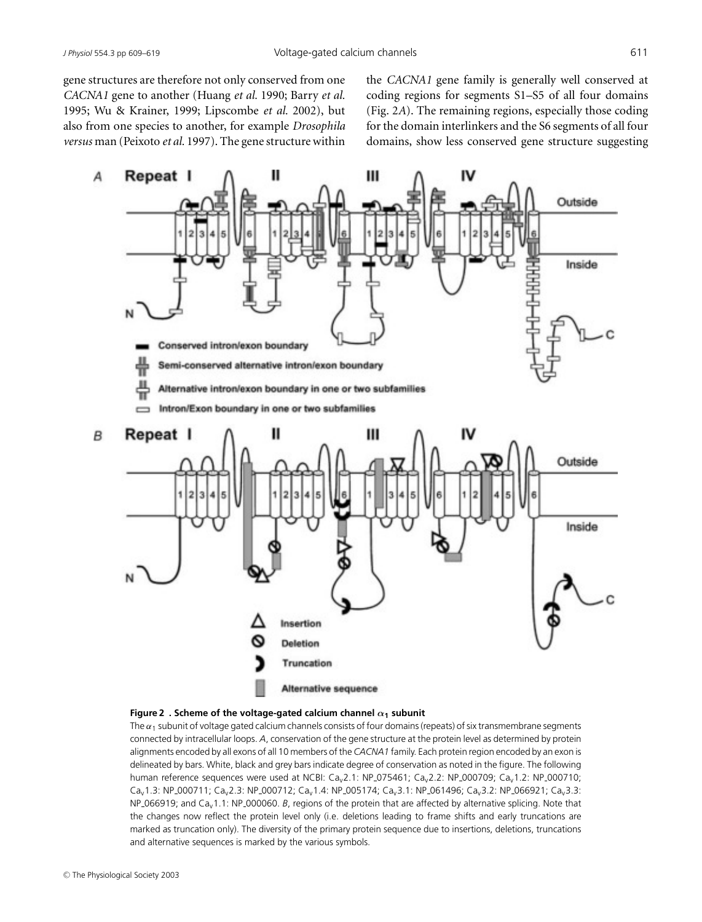gene structures are therefore not only conserved from one *CACNA1* gene to another (Huang *et al.* 1990; Barry *et al.* 1995; Wu & Krainer, 1999; Lipscombe *et al.* 2002), but also from one species to another, for example *Drosophila versus* man (Peixoto *et al.* 1997). The gene structure within the *CACNA1* gene family is generally well conserved at coding regions for segments S1–S5 of all four domains (Fig. 2*A*). The remaining regions, especially those coding for the domain interlinkers and the S6 segments of all four domains, show less conserved gene structure suggesting



#### **Figure 2 . Scheme of the voltage-gated calcium channel** α**<sup>1</sup> subunit**

The  $\alpha_1$  subunit of voltage gated calcium channels consists of four domains (repeats) of six transmembrane segments connected by intracellular loops. *A*, conservation of the gene structure at the protein level as determined by protein alignments encoded by all exons of all 10 members of the *CACNA1* family. Each protein region encoded by an exon is delineated by bars. White, black and grey bars indicate degree of conservation as noted in the figure. The following human reference sequences were used at NCBI:  $Ca<sub>v</sub>2.1$ : NP\_075461;  $Ca<sub>v</sub>2.2$ : NP\_000709;  $Ca<sub>v</sub>1.2$ : NP\_000710; Cav1.3: NP 000711; Cav2.3: NP 000712; Cav1.4: NP 005174; Cav3.1: NP 061496; Cav3.2: NP 066921; Cav3.3: NP 066919; and Cav1.1: NP 000060. *B*, regions of the protein that are affected by alternative splicing. Note that the changes now reflect the protein level only (i.e. deletions leading to frame shifts and early truncations are marked as truncation only). The diversity of the primary protein sequence due to insertions, deletions, truncations and alternative sequences is marked by the various symbols.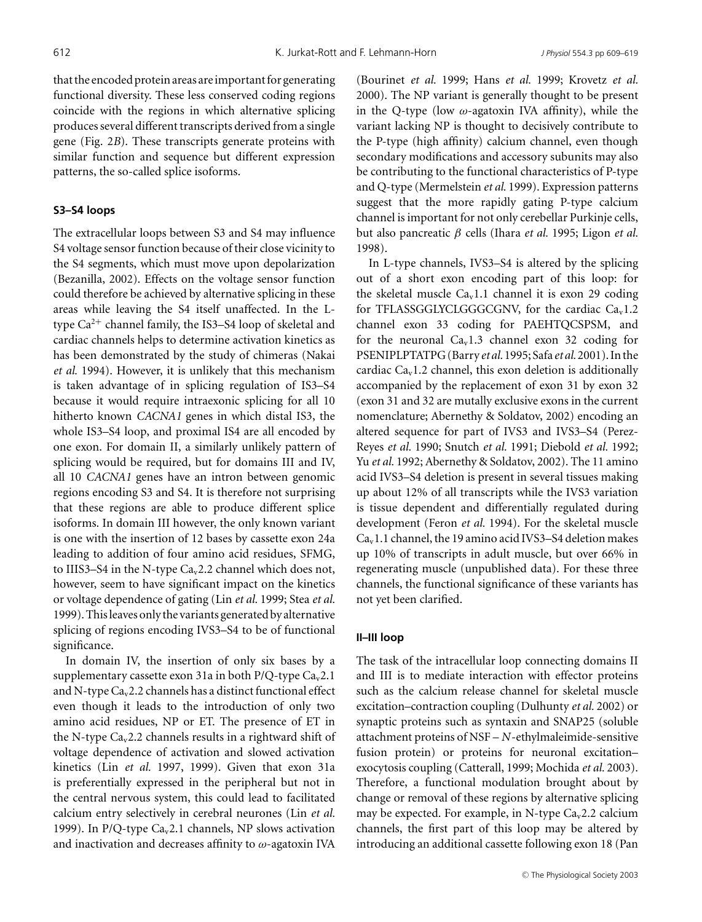that the encoded protein areas are important for generating functional diversity. These less conserved coding regions coincide with the regions in which alternative splicing produces several different transcripts derived from a single gene (Fig. 2*B*). These transcripts generate proteins with similar function and sequence but different expression patterns, the so-called splice isoforms.

### **S3–S4 loops**

The extracellular loops between S3 and S4 may influence S4 voltage sensor function because of their close vicinity to the S4 segments, which must move upon depolarization (Bezanilla, 2002). Effects on the voltage sensor function could therefore be achieved by alternative splicing in these areas while leaving the S4 itself unaffected. In the Ltype  $Ca^{2+}$  channel family, the IS3–S4 loop of skeletal and cardiac channels helps to determine activation kinetics as has been demonstrated by the study of chimeras (Nakai *et al.* 1994). However, it is unlikely that this mechanism is taken advantage of in splicing regulation of IS3–S4 because it would require intraexonic splicing for all 10 hitherto known *CACNA1* genes in which distal IS3, the whole IS3–S4 loop, and proximal IS4 are all encoded by one exon. For domain II, a similarly unlikely pattern of splicing would be required, but for domains III and IV, all 10 *CACNA1* genes have an intron between genomic regions encoding S3 and S4. It is therefore not surprising that these regions are able to produce different splice isoforms. In domain III however, the only known variant is one with the insertion of 12 bases by cassette exon 24a leading to addition of four amino acid residues, SFMG, to IIIS3-S4 in the N-type  $Ca<sub>v</sub>2.2$  channel which does not, however, seem to have significant impact on the kinetics or voltage dependence of gating (Lin *et al.* 1999; Stea *et al.* 1999). This leaves only the variants generated by alternative splicing of regions encoding IVS3–S4 to be of functional significance.

In domain IV, the insertion of only six bases by a supplementary cassette exon 31a in both P/Q-type  $Ca<sub>v</sub>2.1$ and N-type Cav2.2 channels has a distinct functional effect even though it leads to the introduction of only two amino acid residues, NP or ET. The presence of ET in the N-type  $Ca<sub>v</sub>2.2$  channels results in a rightward shift of voltage dependence of activation and slowed activation kinetics (Lin *et al.* 1997, 1999). Given that exon 31a is preferentially expressed in the peripheral but not in the central nervous system, this could lead to facilitated calcium entry selectively in cerebral neurones (Lin *et al.* 1999). In P/Q-type  $Ca<sub>v</sub>2.1$  channels, NP slows activation and inactivation and decreases affinity to  $\omega$ -agatoxin IVA

(Bourinet *et al.* 1999; Hans *et al.* 1999; Krovetz *et al.* 2000). The NP variant is generally thought to be present in the Q-type (low  $\omega$ -agatoxin IVA affinity), while the variant lacking NP is thought to decisively contribute to the P-type (high affinity) calcium channel, even though secondary modifications and accessory subunits may also be contributing to the functional characteristics of P-type and Q-type (Mermelstein *et al.* 1999). Expression patterns suggest that the more rapidly gating P-type calcium channel is important for not only cerebellar Purkinje cells, but also pancreatic β cells (Ihara *et al.* 1995; Ligon *et al.* 1998).

In L-type channels, IVS3–S4 is altered by the splicing out of a short exon encoding part of this loop: for the skeletal muscle  $Ca<sub>v</sub>1.1$  channel it is exon 29 coding for TFLASSGGLYCLGGGCGNV, for the cardiac  $Ca<sub>v</sub>1.2$ channel exon 33 coding for PAEHTQCSPSM, and for the neuronal  $Ca<sub>v</sub>1.3$  channel exon 32 coding for PSENIPLPTATPG (Barry *et al.* 1995; Safa *et al.* 2001). In the cardiac  $Ca<sub>v</sub>1.2$  channel, this exon deletion is additionally accompanied by the replacement of exon 31 by exon 32 (exon 31 and 32 are mutally exclusive exons in the current nomenclature; Abernethy & Soldatov, 2002) encoding an altered sequence for part of IVS3 and IVS3–S4 (Perez-Reyes *et al.* 1990; Snutch *et al.* 1991; Diebold *et al.* 1992; Yu *et al.* 1992; Abernethy & Soldatov, 2002). The 11 amino acid IVS3–S4 deletion is present in several tissues making up about 12% of all transcripts while the IVS3 variation is tissue dependent and differentially regulated during development (Feron *et al.* 1994). For the skeletal muscle  $Ca<sub>v</sub>1.1$  channel, the 19 amino acid IVS3–S4 deletion makes up 10% of transcripts in adult muscle, but over 66% in regenerating muscle (unpublished data). For these three channels, the functional significance of these variants has not yet been clarified.

#### **II–III loop**

The task of the intracellular loop connecting domains II and III is to mediate interaction with effector proteins such as the calcium release channel for skeletal muscle excitation–contraction coupling (Dulhunty *et al.* 2002) or synaptic proteins such as syntaxin and SNAP25 (soluble attachment proteins of NSF – *N*-ethylmaleimide-sensitive fusion protein) or proteins for neuronal excitation– exocytosis coupling (Catterall, 1999; Mochida *et al.* 2003). Therefore, a functional modulation brought about by change or removal of these regions by alternative splicing may be expected. For example, in N-type  $Ca<sub>v</sub>2.2$  calcium channels, the first part of this loop may be altered by introducing an additional cassette following exon 18 (Pan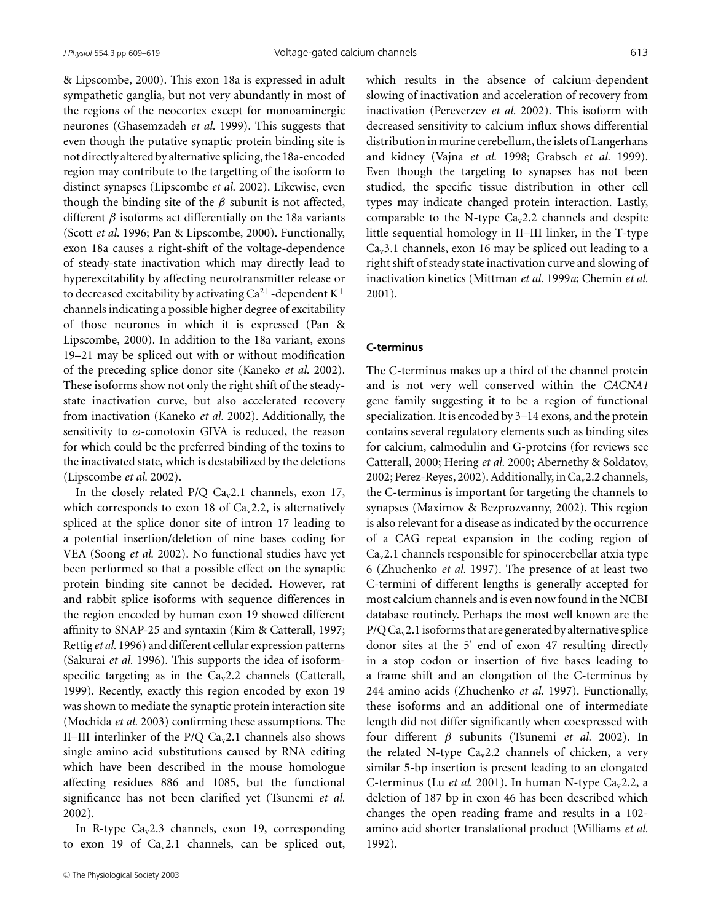& Lipscombe, 2000). This exon 18a is expressed in adult sympathetic ganglia, but not very abundantly in most of the regions of the neocortex except for monoaminergic neurones (Ghasemzadeh *et al.* 1999). This suggests that even though the putative synaptic protein binding site is not directly altered by alternative splicing, the 18a-encoded region may contribute to the targetting of the isoform to distinct synapses (Lipscombe *et al.* 2002). Likewise, even though the binding site of the  $\beta$  subunit is not affected, different  $\beta$  isoforms act differentially on the 18a variants (Scott *et al.* 1996; Pan & Lipscombe, 2000). Functionally, exon 18a causes a right-shift of the voltage-dependence of steady-state inactivation which may directly lead to hyperexcitability by affecting neurotransmitter release or to decreased excitability by activating  $Ca^{2+}$ -dependent K<sup>+</sup> channels indicating a possible higher degree of excitability of those neurones in which it is expressed (Pan & Lipscombe, 2000). In addition to the 18a variant, exons 19–21 may be spliced out with or without modification of the preceding splice donor site (Kaneko *et al.* 2002). These isoforms show not only the right shift of the steadystate inactivation curve, but also accelerated recovery from inactivation (Kaneko *et al.* 2002). Additionally, the sensitivity to  $\omega$ -conotoxin GIVA is reduced, the reason for which could be the preferred binding of the toxins to the inactivated state, which is destabilized by the deletions (Lipscombe *et al.* 2002).

In the closely related  $P/Q Ca<sub>v</sub>2.1$  channels, exon 17, which corresponds to exon 18 of  $Ca<sub>v</sub>2.2$ , is alternatively spliced at the splice donor site of intron 17 leading to a potential insertion/deletion of nine bases coding for VEA (Soong *et al.* 2002). No functional studies have yet been performed so that a possible effect on the synaptic protein binding site cannot be decided. However, rat and rabbit splice isoforms with sequence differences in the region encoded by human exon 19 showed different affinity to SNAP-25 and syntaxin (Kim & Catterall, 1997; Rettig *et al.* 1996) and different cellular expression patterns (Sakurai *et al.* 1996). This supports the idea of isoformspecific targeting as in the  $Ca<sub>v</sub>2.2$  channels (Catterall, 1999). Recently, exactly this region encoded by exon 19 was shown to mediate the synaptic protein interaction site (Mochida *et al.* 2003) confirming these assumptions. The II–III interlinker of the  $P/Q$  Ca<sub>v</sub>2.1 channels also shows single amino acid substitutions caused by RNA editing which have been described in the mouse homologue affecting residues 886 and 1085, but the functional significance has not been clarified yet (Tsunemi *et al.* 2002).

In R-type  $Ca_v2.3$  channels, exon 19, corresponding to exon 19 of  $Ca_v2.1$  channels, can be spliced out, which results in the absence of calcium-dependent slowing of inactivation and acceleration of recovery from inactivation (Pereverzev *et al.* 2002). This isoform with decreased sensitivity to calcium influx shows differential distribution in murine cerebellum, the islets of Langerhans and kidney (Vajna *et al.* 1998; Grabsch *et al.* 1999). Even though the targeting to synapses has not been studied, the specific tissue distribution in other cell types may indicate changed protein interaction. Lastly, comparable to the N-type  $Ca<sub>v</sub>2.2$  channels and despite little sequential homology in II–III linker, in the T-type  $Ca<sub>v</sub>3.1$  channels, exon 16 may be spliced out leading to a right shift of steady state inactivation curve and slowing of inactivation kinetics (Mittman *et al.* 1999*a*; Chemin *et al.* 2001).

#### **C-terminus**

The C-terminus makes up a third of the channel protein and is not very well conserved within the *CACNA1* gene family suggesting it to be a region of functional specialization. It is encoded by 3–14 exons, and the protein contains several regulatory elements such as binding sites for calcium, calmodulin and G-proteins (for reviews see Catterall, 2000; Hering *et al.* 2000; Abernethy & Soldatov, 2002; Perez-Reyes, 2002). Additionally, in Ca<sub>v</sub>2.2 channels, the C-terminus is important for targeting the channels to synapses (Maximov & Bezprozvanny, 2002). This region is also relevant for a disease as indicated by the occurrence of a CAG repeat expansion in the coding region of  $Ca<sub>v</sub>$ 2.1 channels responsible for spinocerebellar atxia type 6 (Zhuchenko *et al.* 1997). The presence of at least two C-termini of different lengths is generally accepted for most calcium channels and is even now found in the NCBI database routinely. Perhaps the most well known are the  $P/Q$  Ca<sub>v</sub>2.1 isoforms that are generated by alternative splice donor sites at the 5′ end of exon 47 resulting directly in a stop codon or insertion of five bases leading to a frame shift and an elongation of the C-terminus by 244 amino acids (Zhuchenko *et al.* 1997). Functionally, these isoforms and an additional one of intermediate length did not differ significantly when coexpressed with four different β subunits (Tsunemi *et al.* 2002). In the related N-type  $Ca_v2.2$  channels of chicken, a very similar 5-bp insertion is present leading to an elongated C-terminus (Lu *et al.* 2001). In human N-type Ca<sub>v</sub>2.2, a deletion of 187 bp in exon 46 has been described which changes the open reading frame and results in a 102 amino acid shorter translational product (Williams *et al.* 1992).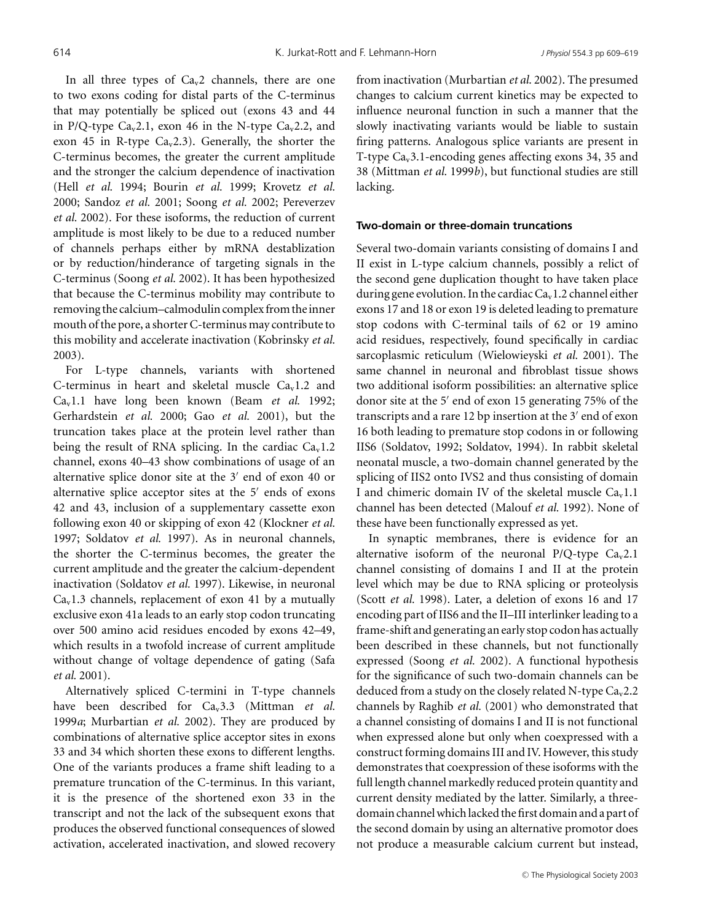In all three types of  $Ca<sub>v</sub>2$  channels, there are one to two exons coding for distal parts of the C-terminus that may potentially be spliced out (exons 43 and 44 in P/Q-type Ca<sub>v</sub>2.1, exon 46 in the N-type Ca<sub>v</sub>2.2, and exon 45 in R-type  $Ca_v2.3$ ). Generally, the shorter the C-terminus becomes, the greater the current amplitude and the stronger the calcium dependence of inactivation (Hell *et al.* 1994; Bourin *et al.* 1999; Krovetz *et al.* 2000; Sandoz *et al.* 2001; Soong *et al.* 2002; Pereverzev *et al.* 2002). For these isoforms, the reduction of current amplitude is most likely to be due to a reduced number of channels perhaps either by mRNA destablization or by reduction/hinderance of targeting signals in the C-terminus (Soong *et al.* 2002). It has been hypothesized that because the C-terminus mobility may contribute to removing the calcium–calmodulin complex from the inner mouth of the pore, a shorter C-terminus may contribute to this mobility and accelerate inactivation (Kobrinsky *et al.* 2003).

For L-type channels, variants with shortened C-terminus in heart and skeletal muscle  $Ca<sub>v</sub>1.2$  and Cav1.1 have long been known (Beam *et al.* 1992; Gerhardstein *et al.* 2000; Gao *et al.* 2001), but the truncation takes place at the protein level rather than being the result of RNA splicing. In the cardiac  $Ca<sub>v</sub>1.2$ channel, exons 40–43 show combinations of usage of an alternative splice donor site at the 3′ end of exon 40 or alternative splice acceptor sites at the 5′ ends of exons 42 and 43, inclusion of a supplementary cassette exon following exon 40 or skipping of exon 42 (Klockner *et al.* 1997; Soldatov *et al.* 1997). As in neuronal channels, the shorter the C-terminus becomes, the greater the current amplitude and the greater the calcium-dependent inactivation (Soldatov *et al.* 1997). Likewise, in neuronal  $Ca<sub>v</sub>1.3$  channels, replacement of exon 41 by a mutually exclusive exon 41a leads to an early stop codon truncating over 500 amino acid residues encoded by exons 42–49, which results in a twofold increase of current amplitude without change of voltage dependence of gating (Safa *et al.* 2001).

Alternatively spliced C-termini in T-type channels have been described for Ca<sub>v</sub>3.3 (Mittman *et al.*) 1999*a*; Murbartian *et al.* 2002). They are produced by combinations of alternative splice acceptor sites in exons 33 and 34 which shorten these exons to different lengths. One of the variants produces a frame shift leading to a premature truncation of the C-terminus. In this variant, it is the presence of the shortened exon 33 in the transcript and not the lack of the subsequent exons that produces the observed functional consequences of slowed activation, accelerated inactivation, and slowed recovery from inactivation (Murbartian *et al.* 2002). The presumed changes to calcium current kinetics may be expected to influence neuronal function in such a manner that the slowly inactivating variants would be liable to sustain firing patterns. Analogous splice variants are present in T-type  $Ca<sub>v</sub>3.1$ -encoding genes affecting exons 34, 35 and 38 (Mittman *et al.* 1999*b*), but functional studies are still lacking.

#### **Two-domain or three-domain truncations**

Several two-domain variants consisting of domains I and II exist in L-type calcium channels, possibly a relict of the second gene duplication thought to have taken place during gene evolution. In the cardiac  $Ca<sub>v</sub>1.2$  channel either exons 17 and 18 or exon 19 is deleted leading to premature stop codons with C-terminal tails of 62 or 19 amino acid residues, respectively, found specifically in cardiac sarcoplasmic reticulum (Wielowieyski *et al.* 2001). The same channel in neuronal and fibroblast tissue shows two additional isoform possibilities: an alternative splice donor site at the 5′ end of exon 15 generating 75% of the transcripts and a rare 12 bp insertion at the 3′ end of exon 16 both leading to premature stop codons in or following IIS6 (Soldatov, 1992; Soldatov, 1994). In rabbit skeletal neonatal muscle, a two-domain channel generated by the splicing of IIS2 onto IVS2 and thus consisting of domain I and chimeric domain IV of the skeletal muscle  $Ca<sub>v</sub>1.1$ channel has been detected (Malouf *et al.* 1992). None of these have been functionally expressed as yet.

In synaptic membranes, there is evidence for an alternative isoform of the neuronal P/Q-type  $Ca<sub>v</sub>2.1$ channel consisting of domains I and II at the protein level which may be due to RNA splicing or proteolysis (Scott *et al.* 1998). Later, a deletion of exons 16 and 17 encoding part of IIS6 and the II–III interlinker leading to a frame-shift and generating an early stop codon has actually been described in these channels, but not functionally expressed (Soong *et al.* 2002). A functional hypothesis for the significance of such two-domain channels can be deduced from a study on the closely related N-type  $Ca<sub>v</sub>2.2$ channels by Raghib *et al.* (2001) who demonstrated that a channel consisting of domains I and II is not functional when expressed alone but only when coexpressed with a construct forming domains III and IV. However, this study demonstrates that coexpression of these isoforms with the full length channel markedly reduced protein quantity and current density mediated by the latter. Similarly, a threedomain channel which lacked the first domain and a part of the second domain by using an alternative promotor does not produce a measurable calcium current but instead,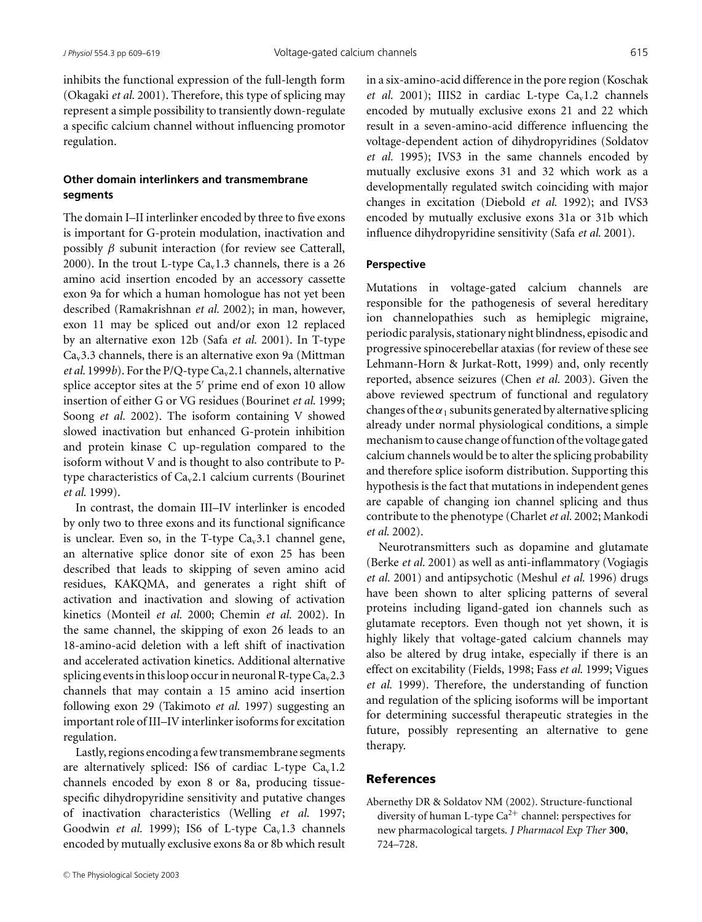inhibits the functional expression of the full-length form (Okagaki *et al.* 2001). Therefore, this type of splicing may represent a simple possibility to transiently down-regulate a specific calcium channel without influencing promotor regulation.

## **Other domain interlinkers and transmembrane segments**

The domain I–II interlinker encoded by three to five exons is important for G-protein modulation, inactivation and possibly  $\beta$  subunit interaction (for review see Catterall, 2000). In the trout L-type  $Ca<sub>v</sub>1.3$  channels, there is a 26 amino acid insertion encoded by an accessory cassette exon 9a for which a human homologue has not yet been described (Ramakrishnan *et al.* 2002); in man, however, exon 11 may be spliced out and/or exon 12 replaced by an alternative exon 12b (Safa *et al.* 2001). In T-type  $Ca<sub>v</sub>3.3$  channels, there is an alternative exon 9a (Mittman *et al.* 1999*b*). For the P/Q-type  $Ca<sub>v</sub>2.1$  channels, alternative splice acceptor sites at the 5' prime end of exon 10 allow insertion of either G or VG residues (Bourinet *et al.* 1999; Soong *et al.* 2002). The isoform containing V showed slowed inactivation but enhanced G-protein inhibition and protein kinase C up-regulation compared to the isoform without V and is thought to also contribute to Ptype characteristics of Cav2.1 calcium currents (Bourinet *et al.* 1999).

In contrast, the domain III–IV interlinker is encoded by only two to three exons and its functional significance is unclear. Even so, in the T-type  $Ca<sub>v</sub>3.1$  channel gene, an alternative splice donor site of exon 25 has been described that leads to skipping of seven amino acid residues, KAKQMA, and generates a right shift of activation and inactivation and slowing of activation kinetics (Monteil *et al.* 2000; Chemin *et al.* 2002). In the same channel, the skipping of exon 26 leads to an 18-amino-acid deletion with a left shift of inactivation and accelerated activation kinetics. Additional alternative splicing events in this loop occur in neuronal R-type  $Ca<sub>v</sub>2.3$ channels that may contain a 15 amino acid insertion following exon 29 (Takimoto *et al.* 1997) suggesting an important role of III–IV interlinker isoforms for excitation regulation.

Lastly, regions encoding a few transmembrane segments are alternatively spliced: IS6 of cardiac L-type  $Ca<sub>v</sub>1.2$ channels encoded by exon 8 or 8a, producing tissuespecific dihydropyridine sensitivity and putative changes of inactivation characteristics (Welling *et al.* 1997; Goodwin *et al.* 1999); IS6 of L-type  $Ca<sub>v</sub>1.3$  channels encoded by mutually exclusive exons 8a or 8b which result

in a six-amino-acid difference in the pore region (Koschak *et al.* 2001); IIIS2 in cardiac L-type  $Ca<sub>v</sub>1.2$  channels encoded by mutually exclusive exons 21 and 22 which result in a seven-amino-acid difference influencing the voltage-dependent action of dihydropyridines (Soldatov *et al.* 1995); IVS3 in the same channels encoded by mutually exclusive exons 31 and 32 which work as a developmentally regulated switch coinciding with major changes in excitation (Diebold *et al.* 1992); and IVS3 encoded by mutually exclusive exons 31a or 31b which influence dihydropyridine sensitivity (Safa *et al.* 2001).

## **Perspective**

Mutations in voltage-gated calcium channels are responsible for the pathogenesis of several hereditary ion channelopathies such as hemiplegic migraine, periodic paralysis, stationary night blindness, episodic and progressive spinocerebellar ataxias (for review of these see Lehmann-Horn & Jurkat-Rott, 1999) and, only recently reported, absence seizures (Chen *et al.* 2003). Given the above reviewed spectrum of functional and regulatory changes of the  $\alpha_1$  subunits generated by alternative splicing already under normal physiological conditions, a simple mechanism to cause change of function of the voltage gated calcium channels would be to alter the splicing probability and therefore splice isoform distribution. Supporting this hypothesis is the fact that mutations in independent genes are capable of changing ion channel splicing and thus contribute to the phenotype (Charlet*et al.* 2002; Mankodi *et al.* 2002).

Neurotransmitters such as dopamine and glutamate (Berke *et al.* 2001) as well as anti-inflammatory (Vogiagis *et al.* 2001) and antipsychotic (Meshul *et al.* 1996) drugs have been shown to alter splicing patterns of several proteins including ligand-gated ion channels such as glutamate receptors. Even though not yet shown, it is highly likely that voltage-gated calcium channels may also be altered by drug intake, especially if there is an effect on excitability (Fields, 1998; Fass *et al.* 1999; Vigues *et al.* 1999). Therefore, the understanding of function and regulation of the splicing isoforms will be important for determining successful therapeutic strategies in the future, possibly representing an alternative to gene therapy.

## References

Abernethy DR & Soldatov NM (2002). Structure-functional diversity of human L-type  $Ca^{2+}$  channel: perspectives for new pharmacological targets. *J Pharmacol Exp Ther* **300**, 724–728.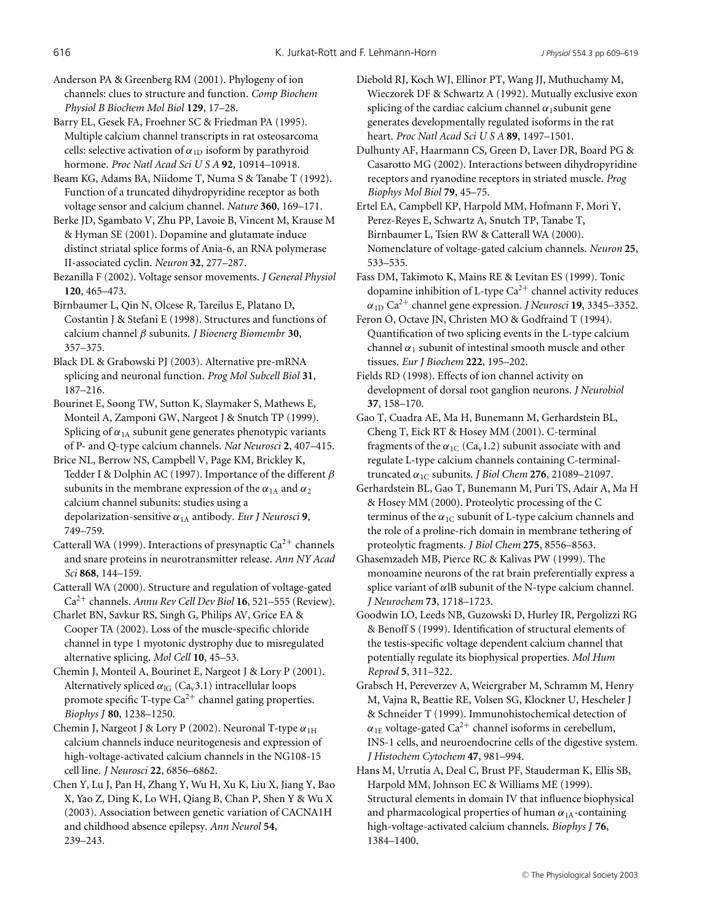Anderson PA & Greenberg RM (2001). Phylogeny of ion channels: clues to structure and function. *Comp Biochem Physiol B Biochem Mol Biol* **129**, 17–28.

Barry EL, Gesek FA, Froehner SC & Friedman PA (1995). Multiple calcium channel transcripts in rat osteosarcoma cells: selective activation of  $\alpha_{1D}$  isoform by parathyroid hormone. *Proc Natl Acad Sci U S A* **92**, 10914–10918.

Beam KG, Adams BA, Niidome T, Numa S & Tanabe T (1992). Function of a truncated dihydropyridine receptor as both voltage sensor and calcium channel. *Nature* **360**, 169–171.

Berke JD, Sgambato V, Zhu PP, Lavoie B, Vincent M, Krause M & Hyman SE (2001). Dopamine and glutamate induce distinct striatal splice forms of Ania-6, an RNA polymerase II-associated cyclin. *Neuron* **32**, 277–287.

Bezanilla F (2002). Voltage sensor movements. *J General Physiol* **120**, 465–473.

Birnbaumer L, Qin N, Olcese R, Tareilus E, Platano D, Costantin J & Stefani E (1998). Structures and functions of calcium channel β subunits. *J Bioenerg Biomembr* **30**, 357–375.

Black DL & Grabowski PJ (2003). Alternative pre-mRNA splicing and neuronal function. *Prog Mol Subcell Biol* **31**, 187–216.

Bourinet E, Soong TW, Sutton K, Slaymaker S, Mathews E, Monteil A, Zamponi GW, Nargeot J & Snutch TP (1999). Splicing of  $\alpha_{1A}$  subunit gene generates phenotypic variants of P- and Q-type calcium channels. *Nat Neurosci* **2**, 407–415.

Brice NL, Berrow NS, Campbell V, Page KM, Brickley K, Tedder I & Dolphin AC (1997). Importance of the different  $\beta$ subunits in the membrane expression of the  $\alpha_{1\text{A}}$  and  $\alpha_2$ calcium channel subunits: studies using a depolarization-sensitive α1A antibody. *Eur J Neurosci* **9**, 749–759.

Catterall WA (1999). Interactions of presynaptic  $Ca^{2+}$  channels and snare proteins in neurotransmitter release. *Ann NY Acad Sci* **868**, 144–159.

Catterall WA (2000). Structure and regulation of voltage-gated Ca2<sup>+</sup> channels. *Annu Rev Cell Dev Biol* **16**, 521–555 (Review).

Charlet BN, Savkur RS, Singh G, Philips AV, Grice EA & Cooper TA (2002). Loss of the muscle-specific chloride channel in type 1 myotonic dystrophy due to misregulated alternative splicing. *Mol Cell* **10**, 45–53.

Chemin J, Monteil A, Bourinet E, Nargeot J & Lory P (2001). Alternatively spliced  $\alpha_{IG}$  (Ca<sub>v</sub>3.1) intracellular loops promote specific T-type  $Ca^{2+}$  channel gating properties. *Biophys J* **80**, 1238–1250.

Chemin J, Nargeot J & Lory P (2002). Neuronal T-type  $\alpha_{1H}$ calcium channels induce neuritogenesis and expression of high-voltage-activated calcium channels in the NG108-15 cell line. *J Neurosci* **22**, 6856–6862.

Chen Y, Lu J, Pan H, Zhang Y, Wu H, Xu K, Liu X, Jiang Y, Bao X, Yao Z, Ding K, Lo WH, Qiang B, Chan P, Shen Y & Wu X (2003). Association between genetic variation of CACNA1H and childhood absence epilepsy. *Ann Neurol* **54**, 239–243.

Diebold RJ, Koch WJ, Ellinor PT, Wang JJ, Muthuchamy M, Wieczorek DF & Schwartz A (1992). Mutually exclusive exon splicing of the cardiac calcium channel  $\alpha_1$ subunit gene generates developmentally regulated isoforms in the rat heart. *Proc Natl Acad Sci U S A* **89**, 1497–1501.

Dulhunty AF, Haarmann CS, Green D, Laver DR, Board PG & Casarotto MG (2002). Interactions between dihydropyridine receptors and ryanodine receptors in striated muscle. *Prog Biophys Mol Biol* **79**, 45–75.

Ertel EA, Campbell KP, Harpold MM, Hofmann F, Mori Y, Perez-Reyes E, Schwartz A, Snutch TP, Tanabe T, Birnbaumer L, Tsien RW & Catterall WA (2000). Nomenclature of voltage-gated calcium channels. *Neuron* **25**, 533–535.

Fass DM, Takimoto K, Mains RE & Levitan ES (1999). Tonic dopamine inhibition of L-type  $Ca^{2+}$  channel activity reduces  $\alpha_{1D}$  Ca<sup>2+</sup> channel gene expression. *J Neurosci* **19**, 3345–3352.

Feron O, Octave JN, Christen MO & Godfraind T (1994). Quantification of two splicing events in the L-type calcium channel  $\alpha_1$  subunit of intestinal smooth muscle and other tissues. *Eur J Biochem* **222**, 195–202.

Fields RD (1998). Effects of ion channel activity on development of dorsal root ganglion neurons. *J Neurobiol* **37**, 158–170.

Gao T, Cuadra AE, Ma H, Bunemann M, Gerhardstein BL, Cheng T, Eick RT & Hosey MM (2001). C-terminal fragments of the  $\alpha_{1C}$  (Ca<sub>v</sub>1.2) subunit associate with and regulate L-type calcium channels containing C-terminaltruncated  $\alpha_{1C}$  subunits. *J Biol Chem* 276, 21089–21097.

Gerhardstein BL, Gao T, Bunemann M, Puri TS, Adair A, Ma H & Hosey MM (2000). Proteolytic processing of the C terminus of the  $\alpha_{1C}$  subunit of L-type calcium channels and the role of a proline-rich domain in membrane tethering of proteolytic fragments. *J Biol Chem* **275**, 8556–8563.

Ghasemzadeh MB, Pierce RC & Kalivas PW (1999). The monoamine neurons of the rat brain preferentially express a splice variant of  $\alpha$ lB subunit of the N-type calcium channel. *J Neurochem* **73**, 1718–1723.

Goodwin LO, Leeds NB, Guzowski D, Hurley IR, Pergolizzi RG & Benoff S (1999). Identification of structural elements of the testis-specific voltage dependent calcium channel that potentially regulate its biophysical properties. *Mol Hum Reprod* **5**, 311–322.

Grabsch H, Pereverzev A, Weiergraber M, Schramm M, Henry M, Vajna R, Beattie RE, Volsen SG, Klockner U, Hescheler J & Schneider T (1999). Immunohistochemical detection of  $\alpha_{1E}$  voltage-gated Ca<sup>2+</sup> channel isoforms in cerebellum, INS-1 cells, and neuroendocrine cells of the digestive system. *J Histochem Cytochem* **47**, 981–994.

Hans M, Urrutia A, Deal C, Brust PF, Stauderman K, Ellis SB, Harpold MM, Johnson EC & Williams ME (1999). Structural elements in domain IV that influence biophysical and pharmacological properties of human  $\alpha_{1A}$ -containing high-voltage-activated calcium channels. *Biophys J* **76**, 1384–1400.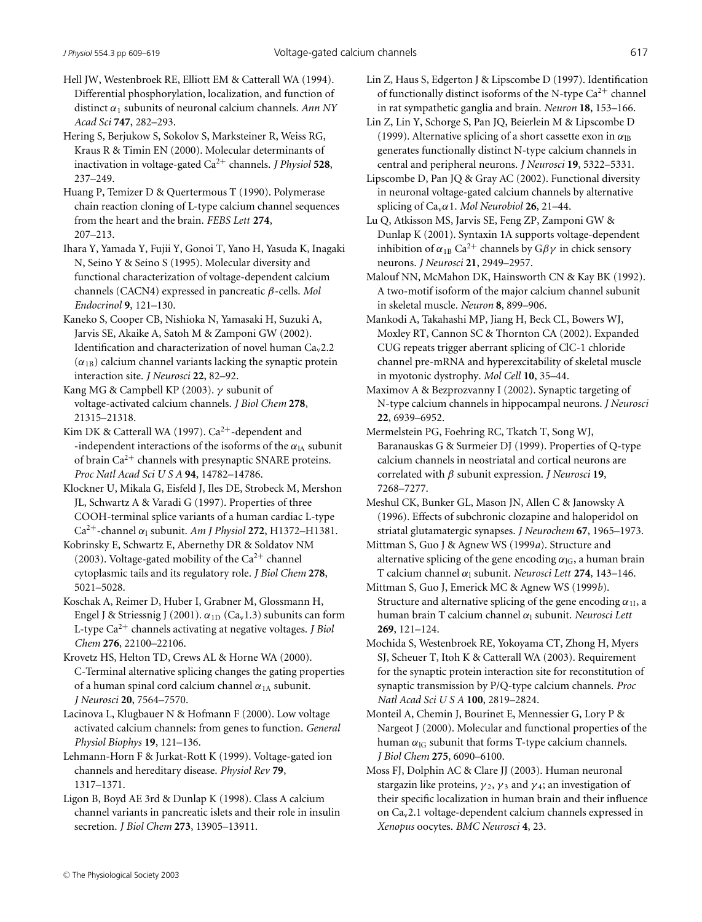Hell JW, Westenbroek RE, Elliott EM & Catterall WA (1994). Differential phosphorylation, localization, and function of distinct α<sup>1</sup> subunits of neuronal calcium channels. *Ann NY Acad Sci* **747**, 282–293.

Hering S, Berjukow S, Sokolov S, Marksteiner R, Weiss RG, Kraus R & Timin EN (2000). Molecular determinants of inactivation in voltage-gated Ca2<sup>+</sup> channels. *J Physiol* **528**, 237–249.

Huang P, Temizer D & Quertermous T (1990). Polymerase chain reaction cloning of L-type calcium channel sequences from the heart and the brain. *FEBS Lett* **274**, 207–213.

Ihara Y, Yamada Y, Fujii Y, Gonoi T, Yano H, Yasuda K, Inagaki N, Seino Y & Seino S (1995). Molecular diversity and functional characterization of voltage-dependent calcium channels (CACN4) expressed in pancreatic β-cells. *Mol Endocrinol* **9**, 121–130.

Kaneko S, Cooper CB, Nishioka N, Yamasaki H, Suzuki A, Jarvis SE, Akaike A, Satoh M & Zamponi GW (2002). Identification and characterization of novel human  $Ca<sub>v</sub>2.2$  $(\alpha_{1B})$  calcium channel variants lacking the synaptic protein interaction site. *J Neurosci* **22**, 82–92.

Kang MG & Campbell KP (2003).  $\nu$  subunit of voltage-activated calcium channels. *J Biol Chem* **278**, 21315–21318.

Kim DK & Catterall WA (1997).  $Ca^{2+}$ -dependent and -independent interactions of the isoforms of the  $\alpha_{lA}$  subunit of brain  $Ca^{2+}$  channels with presynaptic SNARE proteins. *Proc Natl Acad Sci U S A* **94**, 14782–14786.

Klockner U, Mikala G, Eisfeld J, Iles DE, Strobeck M, Mershon JL, Schwartz A & Varadi G (1997). Properties of three COOH-terminal splice variants of a human cardiac L-type Ca<sup>2+</sup>-channel  $\alpha_1$  subunit. *Am J Physiol* **272**, H1372–H1381.

Kobrinsky E, Schwartz E, Abernethy DR & Soldatov NM (2003). Voltage-gated mobility of the  $Ca^{2+}$  channel cytoplasmic tails and its regulatory role. *J Biol Chem* **278**, 5021–5028.

Koschak A, Reimer D, Huber I, Grabner M, Glossmann H, Engel J & Striessnig J (2001).  $\alpha_{1D}$  (Ca<sub>v</sub>1.3) subunits can form L-type Ca2<sup>+</sup> channels activating at negative voltages. *J Biol Chem* **276**, 22100–22106.

Krovetz HS, Helton TD, Crews AL & Horne WA (2000). C-Terminal alternative splicing changes the gating properties of a human spinal cord calcium channel  $\alpha_{1A}$  subunit. *J Neurosci* **20**, 7564–7570.

Lacinova L, Klugbauer N & Hofmann F (2000). Low voltage activated calcium channels: from genes to function. *General Physiol Biophys* **19**, 121–136.

Lehmann-Horn F & Jurkat-Rott K (1999). Voltage-gated ion channels and hereditary disease. *Physiol Rev* **79**, 1317–1371.

Ligon B, Boyd AE 3rd & Dunlap K (1998). Class A calcium channel variants in pancreatic islets and their role in insulin secretion. *J Biol Chem* **273**, 13905–13911.

Lin Z, Haus S, Edgerton J & Lipscombe D (1997). Identification of functionally distinct isoforms of the N-type  $Ca^{2+}$  channel in rat sympathetic ganglia and brain. *Neuron* **18**, 153–166.

Lin Z, Lin Y, Schorge S, Pan JQ, Beierlein M & Lipscombe D (1999). Alternative splicing of a short cassette exon in  $\alpha_{\text{IB}}$ generates functionally distinct N-type calcium channels in central and peripheral neurons. *J Neurosci* **19**, 5322–5331.

Lipscombe D, Pan JQ & Gray AC (2002). Functional diversity in neuronal voltage-gated calcium channels by alternative splicing of  $Ca<sub>v</sub> \alpha$ 1. *Mol Neurobiol* **26**, 21–44.

Lu Q, Atkisson MS, Jarvis SE, Feng ZP, Zamponi GW & Dunlap K (2001). Syntaxin 1A supports voltage-dependent inhibition of  $\alpha_{1B}$  Ca<sup>2+</sup> channels by G $\beta\gamma$  in chick sensory neurons. *J Neurosci* **21**, 2949–2957.

Malouf NN, McMahon DK, Hainsworth CN & Kay BK (1992). A two-motif isoform of the major calcium channel subunit in skeletal muscle. *Neuron* **8**, 899–906.

Mankodi A, Takahashi MP, Jiang H, Beck CL, Bowers WJ, Moxley RT, Cannon SC & Thornton CA (2002). Expanded CUG repeats trigger aberrant splicing of ClC-1 chloride channel pre-mRNA and hyperexcitability of skeletal muscle in myotonic dystrophy. *Mol Cell* **10**, 35–44.

Maximov A & Bezprozvanny I (2002). Synaptic targeting of N-type calcium channels in hippocampal neurons. *J Neurosci* **22**, 6939–6952.

Mermelstein PG, Foehring RC, Tkatch T, Song WJ, Baranauskas G & Surmeier DJ (1999). Properties of Q-type calcium channels in neostriatal and cortical neurons are correlated with β subunit expression. *J Neurosci* **19**, 7268–7277.

Meshul CK, Bunker GL, Mason JN, Allen C & Janowsky A (1996). Effects of subchronic clozapine and haloperidol on striatal glutamatergic synapses. *J Neurochem* **67**, 1965–1973.

Mittman S, Guo J & Agnew WS (1999*a*). Structure and alternative splicing of the gene encoding  $\alpha_{1G}$ , a human brain T calcium channel α<sup>l</sup> subunit. *Neurosci Lett* **274**, 143–146.

Mittman S, Guo J, Emerick MC & Agnew WS (1999*b*). Structure and alternative splicing of the gene encoding  $\alpha_{1I}$ , a human brain T calcium channel α<sub>l</sub> subunit. *Neurosci Lett* **269**, 121–124.

Mochida S, Westenbroek RE, Yokoyama CT, Zhong H, Myers SJ, Scheuer T, Itoh K & Catterall WA (2003). Requirement for the synaptic protein interaction site for reconstitution of synaptic transmission by P/Q-type calcium channels. *Proc Natl Acad Sci U S A* **100**, 2819–2824.

Monteil A, Chemin J, Bourinet E, Mennessier G, Lory P & Nargeot J (2000). Molecular and functional properties of the human  $\alpha_{\text{IG}}$  subunit that forms T-type calcium channels. *J Biol Chem* **275**, 6090–6100.

Moss FJ, Dolphin AC & Clare JJ (2003). Human neuronal stargazin like proteins,  $\gamma_2$ ,  $\gamma_3$  and  $\gamma_4$ ; an investigation of their specific localization in human brain and their influence on Cav2.1 voltage-dependent calcium channels expressed in *Xenopus* oocytes. *BMC Neurosci* **4**, 23.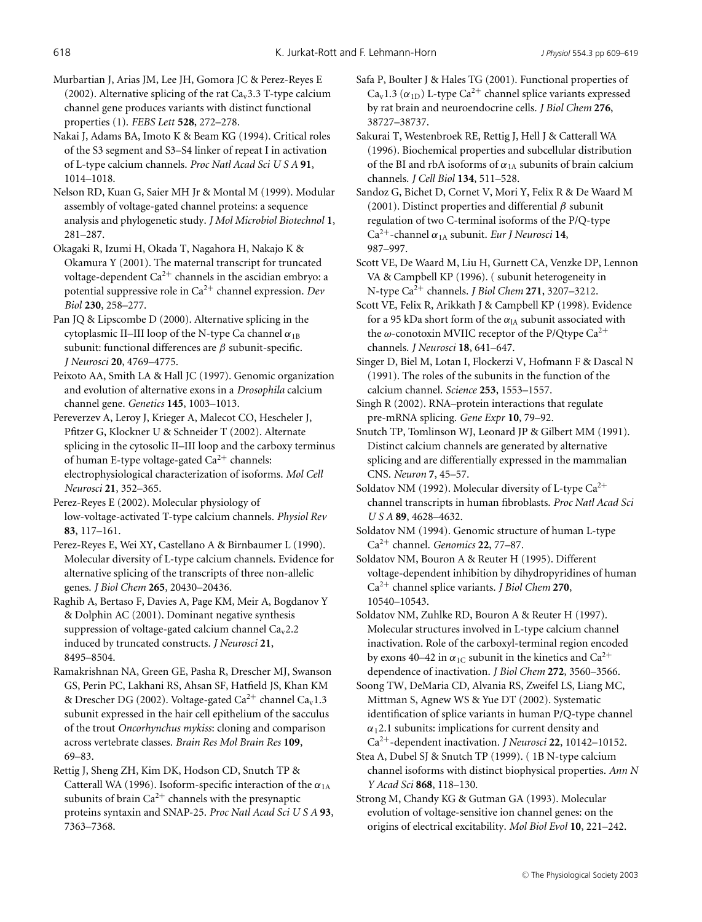Murbartian J, Arias JM, Lee JH, Gomora JC & Perez-Reyes E (2002). Alternative splicing of the rat  $Ca<sub>v</sub>3.3$  T-type calcium channel gene produces variants with distinct functional properties (1). *FEBS Lett* **528**, 272–278.

Nakai J, Adams BA, Imoto K & Beam KG (1994). Critical roles of the S3 segment and S3–S4 linker of repeat I in activation of L-type calcium channels. *Proc Natl Acad Sci U S A* **91**, 1014–1018.

Nelson RD, Kuan G, Saier MH Jr & Montal M (1999). Modular assembly of voltage-gated channel proteins: a sequence analysis and phylogenetic study. *J Mol Microbiol Biotechnol* **1**, 281–287.

Okagaki R, Izumi H, Okada T, Nagahora H, Nakajo K & Okamura Y (2001). The maternal transcript for truncated voltage-dependent  $Ca^{2+}$  channels in the ascidian embryo: a potential suppressive role in Ca2<sup>+</sup> channel expression. *Dev Biol* **230**, 258–277.

Pan JQ & Lipscombe D (2000). Alternative splicing in the cytoplasmic II–III loop of the N-type Ca channel  $\alpha_{1B}$ subunit: functional differences are  $\beta$  subunit-specific. *J Neurosci* **20**, 4769–4775.

Peixoto AA, Smith LA & Hall JC (1997). Genomic organization and evolution of alternative exons in a *Drosophila* calcium channel gene. *Genetics* **145**, 1003–1013.

Pereverzev A, Leroy J, Krieger A, Malecot CO, Hescheler J, Pfitzer G, Klockner U & Schneider T (2002). Alternate splicing in the cytosolic II–III loop and the carboxy terminus of human E-type voltage-gated  $Ca^{2+}$  channels: electrophysiological characterization of isoforms. *Mol Cell Neurosci* **21**, 352–365.

Perez-Reyes E (2002). Molecular physiology of low-voltage-activated T-type calcium channels. *Physiol Rev* **83**, 117–161.

Perez-Reyes E, Wei XY, Castellano A & Birnbaumer L (1990). Molecular diversity of L-type calcium channels. Evidence for alternative splicing of the transcripts of three non-allelic genes. *J Biol Chem* **265**, 20430–20436.

Raghib A, Bertaso F, Davies A, Page KM, Meir A, Bogdanov Y & Dolphin AC (2001). Dominant negative synthesis suppression of voltage-gated calcium channel  $Ca<sub>v</sub>2.2$ induced by truncated constructs. *J Neurosci* **21**, 8495–8504.

Ramakrishnan NA, Green GE, Pasha R, Drescher MJ, Swanson GS, Perin PC, Lakhani RS, Ahsan SF, Hatfield JS, Khan KM & Drescher DG (2002). Voltage-gated Ca<sup>2+</sup> channel Ca<sub>v</sub>1.3 subunit expressed in the hair cell epithelium of the sacculus of the trout *Oncorhynchus mykiss*: cloning and comparison across vertebrate classes. *Brain Res Mol Brain Res* **109**, 69–83.

Rettig J, Sheng ZH, Kim DK, Hodson CD, Snutch TP & Catterall WA (1996). Isoform-specific interaction of the  $\alpha_{1A}$ subunits of brain  $Ca^{2+}$  channels with the presynaptic proteins syntaxin and SNAP-25. *Proc Natl Acad Sci U S A* **93**, 7363–7368.

Safa P, Boulter J & Hales TG (2001). Functional properties of Ca<sub>v</sub>1.3 ( $\alpha_{1D}$ ) L-type Ca<sup>2+</sup> channel splice variants expressed by rat brain and neuroendocrine cells. *J Biol Chem* **276**, 38727–38737.

Sakurai T, Westenbroek RE, Rettig J, Hell J & Catterall WA (1996). Biochemical properties and subcellular distribution of the BI and rbA isoforms of  $\alpha_{1A}$  subunits of brain calcium channels. *J Cell Biol* **134**, 511–528.

Sandoz G, Bichet D, Cornet V, Mori Y, Felix R & De Waard M (2001). Distinct properties and differential  $\beta$  subunit regulation of two C-terminal isoforms of the P/Q-type Ca2+-channel α1A subunit. *Eur J Neurosci* **14**, 987–997.

Scott VE, De Waard M, Liu H, Gurnett CA, Venzke DP, Lennon VA & Campbell KP (1996). ( subunit heterogeneity in N-type Ca2<sup>+</sup> channels. *J Biol Chem* **271**, 3207–3212.

Scott VE, Felix R, Arikkath J & Campbell KP (1998). Evidence for a 95 kDa short form of the  $\alpha_{IA}$  subunit associated with the  $\omega$ -conotoxin MVIIC receptor of the P/Qtype Ca<sup>2+</sup> channels. *J Neurosci* **18**, 641–647.

Singer D, Biel M, Lotan I, Flockerzi V, Hofmann F & Dascal N (1991). The roles of the subunits in the function of the calcium channel. *Science* **253**, 1553–1557.

Singh R (2002). RNA–protein interactions that regulate pre-mRNA splicing. *Gene Expr* **10**, 79–92.

Snutch TP, Tomlinson WJ, Leonard JP & Gilbert MM (1991). Distinct calcium channels are generated by alternative splicing and are differentially expressed in the mammalian CNS. *Neuron* **7**, 45–57.

Soldatov NM (1992). Molecular diversity of L-type  $Ca^{2+}$ channel transcripts in human fibroblasts. *Proc Natl Acad Sci USA* **89**, 4628–4632.

Soldatov NM (1994). Genomic structure of human L-type Ca2<sup>+</sup> channel. *Genomics* **22**, 77–87.

Soldatov NM, Bouron A & Reuter H (1995). Different voltage-dependent inhibition by dihydropyridines of human Ca2<sup>+</sup> channel splice variants. *J Biol Chem* **270**, 10540–10543.

Soldatov NM, Zuhlke RD, Bouron A & Reuter H (1997). Molecular structures involved in L-type calcium channel inactivation. Role of the carboxyl-terminal region encoded by exons 40–42 in  $\alpha_{1C}$  subunit in the kinetics and Ca<sup>2+</sup> dependence of inactivation. *J Biol Chem* **272**, 3560–3566.

Soong TW, DeMaria CD, Alvania RS, Zweifel LS, Liang MC, Mittman S, Agnew WS & Yue DT (2002). Systematic identification of splice variants in human P/Q-type channel  $\alpha_1$ 2.1 subunits: implications for current density and Ca2+-dependent inactivation. *J Neurosci* **22**, 10142–10152.

Stea A, Dubel SJ & Snutch TP (1999). ( 1B N-type calcium channel isoforms with distinct biophysical properties. *Ann N Y Acad Sci* **868**, 118–130.

Strong M, Chandy KG & Gutman GA (1993). Molecular evolution of voltage-sensitive ion channel genes: on the origins of electrical excitability. *Mol Biol Evol* **10**, 221–242.